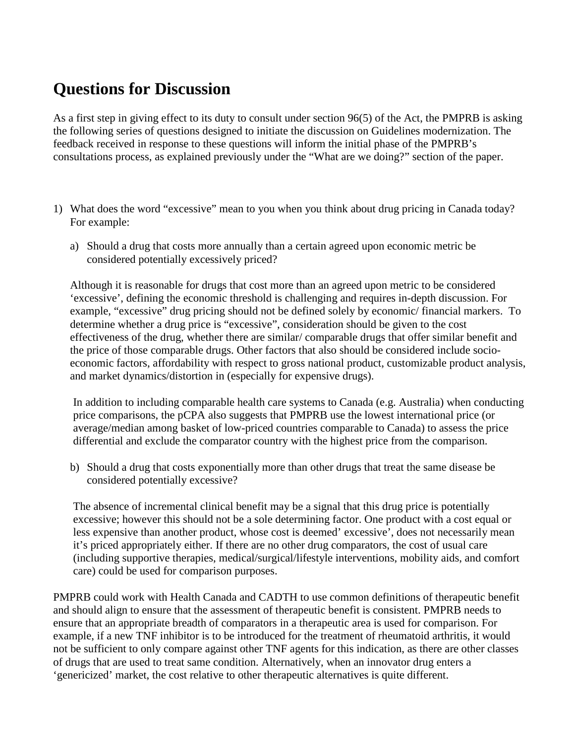## **Questions for Discussion**

As a first step in giving effect to its duty to consult under section 96(5) of the Act, the PMPRB is asking the following series of questions designed to initiate the discussion on Guidelines modernization. The feedback received in response to these questions will inform the initial phase of the PMPRB's consultations process, as explained previously under the "What are we doing?" section of the paper.

- 1) What does the word "excessive" mean to you when you think about drug pricing in Canada today? For example:
	- a) Should a drug that costs more annually than a certain agreed upon economic metric be considered potentially excessively priced?

Although it is reasonable for drugs that cost more than an agreed upon metric to be considered 'excessive', defining the economic threshold is challenging and requires in-depth discussion. For example, "excessive" drug pricing should not be defined solely by economic/ financial markers. To determine whether a drug price is "excessive", consideration should be given to the cost effectiveness of the drug, whether there are similar/ comparable drugs that offer similar benefit and the price of those comparable drugs. Other factors that also should be considered include socioeconomic factors, affordability with respect to gross national product, customizable product analysis, and market dynamics/distortion in (especially for expensive drugs).

In addition to including comparable health care systems to Canada (e.g. Australia) when conducting price comparisons, the pCPA also suggests that PMPRB use the lowest international price (or average/median among basket of low-priced countries comparable to Canada) to assess the price differential and exclude the comparator country with the highest price from the comparison.

b) Should a drug that costs exponentially more than other drugs that treat the same disease be considered potentially excessive?

The absence of incremental clinical benefit may be a signal that this drug price is potentially excessive; however this should not be a sole determining factor. One product with a cost equal or less expensive than another product, whose cost is deemed' excessive', does not necessarily mean it's priced appropriately either. If there are no other drug comparators, the cost of usual care (including supportive therapies, medical/surgical/lifestyle interventions, mobility aids, and comfort care) could be used for comparison purposes.

PMPRB could work with Health Canada and CADTH to use common definitions of therapeutic benefit and should align to ensure that the assessment of therapeutic benefit is consistent. PMPRB needs to ensure that an appropriate breadth of comparators in a therapeutic area is used for comparison. For example, if a new TNF inhibitor is to be introduced for the treatment of rheumatoid arthritis, it would not be sufficient to only compare against other TNF agents for this indication, as there are other classes of drugs that are used to treat same condition. Alternatively, when an innovator drug enters a 'genericized' market, the cost relative to other therapeutic alternatives is quite different.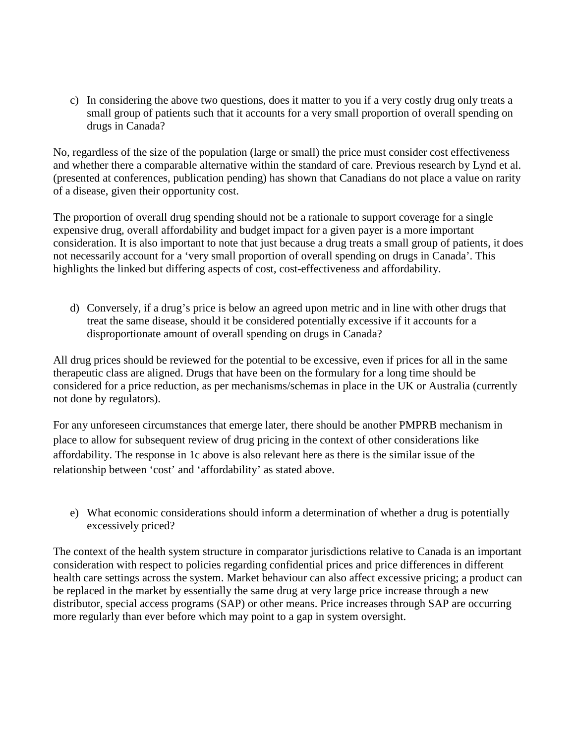c) In considering the above two questions, does it matter to you if a very costly drug only treats a small group of patients such that it accounts for a very small proportion of overall spending on drugs in Canada?

No, regardless of the size of the population (large or small) the price must consider cost effectiveness and whether there a comparable alternative within the standard of care. Previous research by Lynd et al. (presented at conferences, publication pending) has shown that Canadians do not place a value on rarity of a disease, given their opportunity cost.

The proportion of overall drug spending should not be a rationale to support coverage for a single expensive drug, overall affordability and budget impact for a given payer is a more important consideration. It is also important to note that just because a drug treats a small group of patients, it does not necessarily account for a 'very small proportion of overall spending on drugs in Canada'. This highlights the linked but differing aspects of cost, cost-effectiveness and affordability.

d) Conversely, if a drug's price is below an agreed upon metric and in line with other drugs that treat the same disease, should it be considered potentially excessive if it accounts for a disproportionate amount of overall spending on drugs in Canada?

All drug prices should be reviewed for the potential to be excessive, even if prices for all in the same therapeutic class are aligned. Drugs that have been on the formulary for a long time should be considered for a price reduction, as per mechanisms/schemas in place in the UK or Australia (currently not done by regulators).

For any unforeseen circumstances that emerge later, there should be another PMPRB mechanism in place to allow for subsequent review of drug pricing in the context of other considerations like affordability. The response in 1c above is also relevant here as there is the similar issue of the relationship between 'cost' and 'affordability' as stated above.

e) What economic considerations should inform a determination of whether a drug is potentially excessively priced?

The context of the health system structure in comparator jurisdictions relative to Canada is an important consideration with respect to policies regarding confidential prices and price differences in different health care settings across the system. Market behaviour can also affect excessive pricing; a product can be replaced in the market by essentially the same drug at very large price increase through a new distributor, special access programs (SAP) or other means. Price increases through SAP are occurring more regularly than ever before which may point to a gap in system oversight.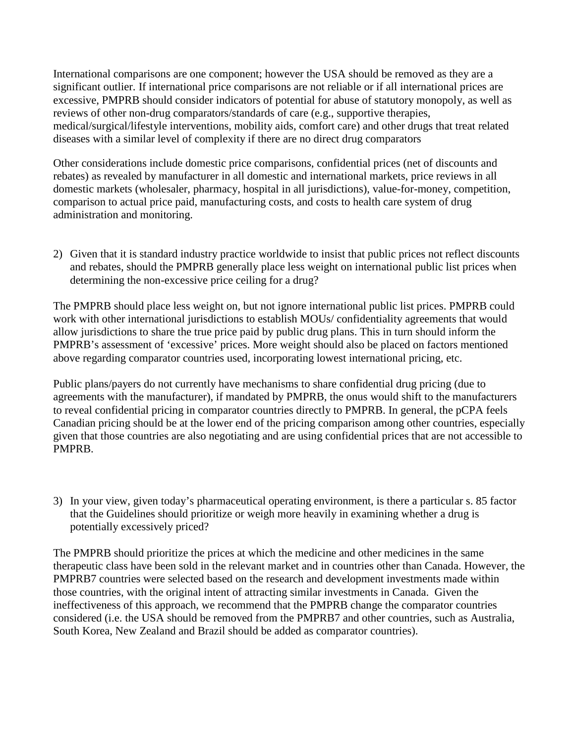International comparisons are one component; however the USA should be removed as they are a significant outlier. If international price comparisons are not reliable or if all international prices are excessive, PMPRB should consider indicators of potential for abuse of statutory monopoly, as well as reviews of other non-drug comparators/standards of care (e.g., supportive therapies, medical/surgical/lifestyle interventions, mobility aids, comfort care) and other drugs that treat related diseases with a similar level of complexity if there are no direct drug comparators

Other considerations include domestic price comparisons, confidential prices (net of discounts and rebates) as revealed by manufacturer in all domestic and international markets, price reviews in all domestic markets (wholesaler, pharmacy, hospital in all jurisdictions), value-for-money, competition, comparison to actual price paid, manufacturing costs, and costs to health care system of drug administration and monitoring.

2) Given that it is standard industry practice worldwide to insist that public prices not reflect discounts and rebates, should the PMPRB generally place less weight on international public list prices when determining the non-excessive price ceiling for a drug?

The PMPRB should place less weight on, but not ignore international public list prices. PMPRB could work with other international jurisdictions to establish MOUs/ confidentiality agreements that would allow jurisdictions to share the true price paid by public drug plans. This in turn should inform the PMPRB's assessment of 'excessive' prices. More weight should also be placed on factors mentioned above regarding comparator countries used, incorporating lowest international pricing, etc.

Public plans/payers do not currently have mechanisms to share confidential drug pricing (due to agreements with the manufacturer), if mandated by PMPRB, the onus would shift to the manufacturers to reveal confidential pricing in comparator countries directly to PMPRB. In general, the pCPA feels Canadian pricing should be at the lower end of the pricing comparison among other countries, especially given that those countries are also negotiating and are using confidential prices that are not accessible to PMPRB.

3) In your view, given today's pharmaceutical operating environment, is there a particular s. 85 factor that the Guidelines should prioritize or weigh more heavily in examining whether a drug is potentially excessively priced?

The PMPRB should prioritize the prices at which the medicine and other medicines in the same therapeutic class have been sold in the relevant market and in countries other than Canada. However, the PMPRB7 countries were selected based on the research and development investments made within those countries, with the original intent of attracting similar investments in Canada. Given the ineffectiveness of this approach, we recommend that the PMPRB change the comparator countries considered (i.e. the USA should be removed from the PMPRB7 and other countries, such as Australia, South Korea, New Zealand and Brazil should be added as comparator countries).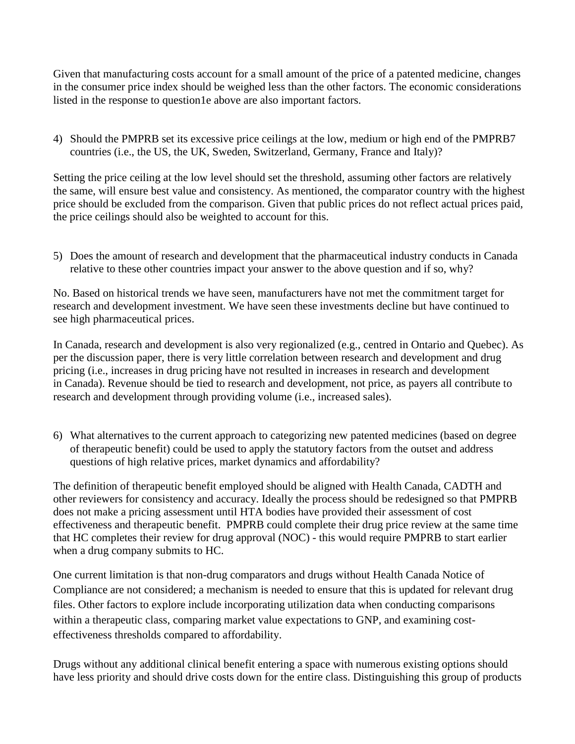Given that manufacturing costs account for a small amount of the price of a patented medicine, changes in the consumer price index should be weighed less than the other factors. The economic considerations listed in the response to question1e above are also important factors.

4) Should the PMPRB set its excessive price ceilings at the low, medium or high end of the PMPRB7 countries (i.e., the US, the UK, Sweden, Switzerland, Germany, France and Italy)?

Setting the price ceiling at the low level should set the threshold, assuming other factors are relatively the same, will ensure best value and consistency. As mentioned, the comparator country with the highest price should be excluded from the comparison. Given that public prices do not reflect actual prices paid, the price ceilings should also be weighted to account for this.

5) Does the amount of research and development that the pharmaceutical industry conducts in Canada relative to these other countries impact your answer to the above question and if so, why?

No. Based on historical trends we have seen, manufacturers have not met the commitment target for research and development investment. We have seen these investments decline but have continued to see high pharmaceutical prices.

In Canada, research and development is also very regionalized (e.g., centred in Ontario and Quebec). As per the discussion paper, there is very little correlation between research and development and drug pricing (i.e., increases in drug pricing have not resulted in increases in research and development in Canada). Revenue should be tied to research and development, not price, as payers all contribute to research and development through providing volume (i.e., increased sales).

6) What alternatives to the current approach to categorizing new patented medicines (based on degree of therapeutic benefit) could be used to apply the statutory factors from the outset and address questions of high relative prices, market dynamics and affordability?

The definition of therapeutic benefit employed should be aligned with Health Canada, CADTH and other reviewers for consistency and accuracy. Ideally the process should be redesigned so that PMPRB does not make a pricing assessment until HTA bodies have provided their assessment of cost effectiveness and therapeutic benefit. PMPRB could complete their drug price review at the same time that HC completes their review for drug approval (NOC) - this would require PMPRB to start earlier when a drug company submits to HC.

One current limitation is that non-drug comparators and drugs without Health Canada Notice of Compliance are not considered; a mechanism is needed to ensure that this is updated for relevant drug files. Other factors to explore include incorporating utilization data when conducting comparisons within a therapeutic class, comparing market value expectations to GNP, and examining costeffectiveness thresholds compared to affordability.

Drugs without any additional clinical benefit entering a space with numerous existing options should have less priority and should drive costs down for the entire class. Distinguishing this group of products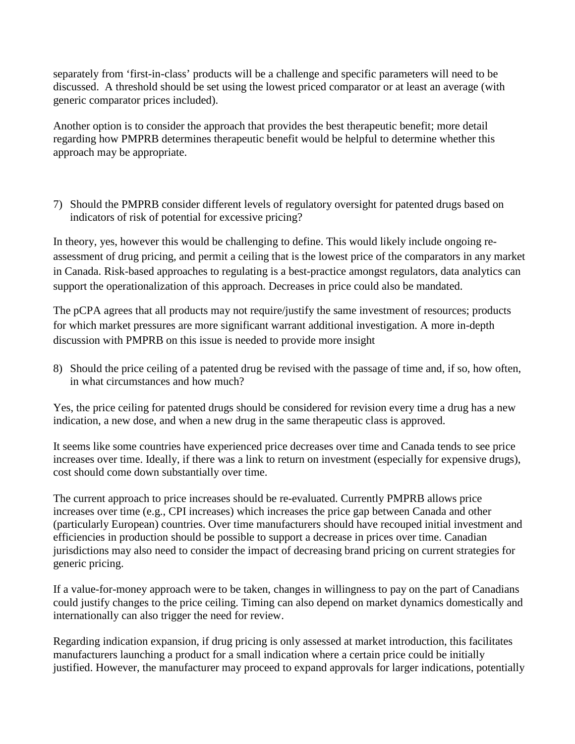separately from 'first-in-class' products will be a challenge and specific parameters will need to be discussed. A threshold should be set using the lowest priced comparator or at least an average (with generic comparator prices included).

Another option is to consider the approach that provides the best therapeutic benefit; more detail regarding how PMPRB determines therapeutic benefit would be helpful to determine whether this approach may be appropriate.

7) Should the PMPRB consider different levels of regulatory oversight for patented drugs based on indicators of risk of potential for excessive pricing?

In theory, yes, however this would be challenging to define. This would likely include ongoing reassessment of drug pricing, and permit a ceiling that is the lowest price of the comparators in any market in Canada. Risk-based approaches to regulating is a best-practice amongst regulators, data analytics can support the operationalization of this approach. Decreases in price could also be mandated.

The pCPA agrees that all products may not require/justify the same investment of resources; products for which market pressures are more significant warrant additional investigation. A more in-depth discussion with PMPRB on this issue is needed to provide more insight

8) Should the price ceiling of a patented drug be revised with the passage of time and, if so, how often, in what circumstances and how much?

Yes, the price ceiling for patented drugs should be considered for revision every time a drug has a new indication, a new dose, and when a new drug in the same therapeutic class is approved.

It seems like some countries have experienced price decreases over time and Canada tends to see price increases over time. Ideally, if there was a link to return on investment (especially for expensive drugs), cost should come down substantially over time.

The current approach to price increases should be re-evaluated. Currently PMPRB allows price increases over time (e.g., CPI increases) which increases the price gap between Canada and other (particularly European) countries. Over time manufacturers should have recouped initial investment and efficiencies in production should be possible to support a decrease in prices over time. Canadian jurisdictions may also need to consider the impact of decreasing brand pricing on current strategies for generic pricing.

If a value-for-money approach were to be taken, changes in willingness to pay on the part of Canadians could justify changes to the price ceiling. Timing can also depend on market dynamics domestically and internationally can also trigger the need for review.

Regarding indication expansion, if drug pricing is only assessed at market introduction, this facilitates manufacturers launching a product for a small indication where a certain price could be initially justified. However, the manufacturer may proceed to expand approvals for larger indications, potentially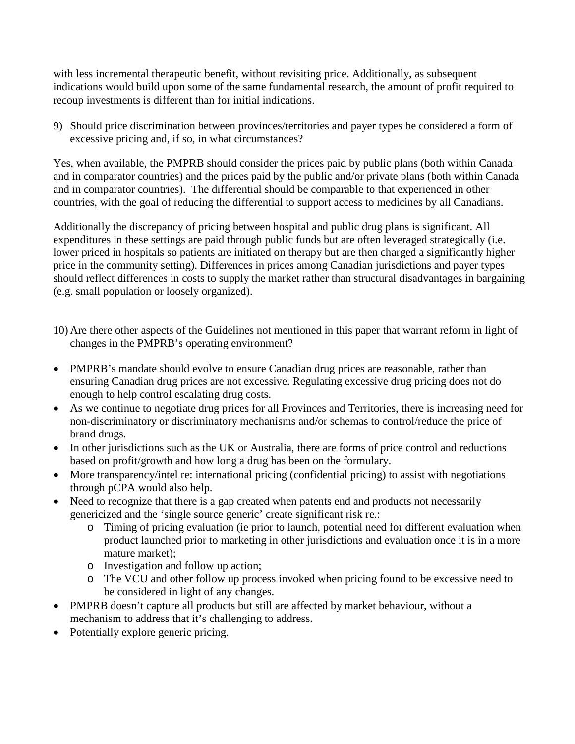with less incremental therapeutic benefit, without revisiting price. Additionally, as subsequent indications would build upon some of the same fundamental research, the amount of profit required to recoup investments is different than for initial indications.

9) Should price discrimination between provinces/territories and payer types be considered a form of excessive pricing and, if so, in what circumstances?

Yes, when available, the PMPRB should consider the prices paid by public plans (both within Canada and in comparator countries) and the prices paid by the public and/or private plans (both within Canada and in comparator countries). The differential should be comparable to that experienced in other countries, with the goal of reducing the differential to support access to medicines by all Canadians.

Additionally the discrepancy of pricing between hospital and public drug plans is significant. All expenditures in these settings are paid through public funds but are often leveraged strategically (i.e. lower priced in hospitals so patients are initiated on therapy but are then charged a significantly higher price in the community setting). Differences in prices among Canadian jurisdictions and payer types should reflect differences in costs to supply the market rather than structural disadvantages in bargaining (e.g. small population or loosely organized).

- 10) Are there other aspects of the Guidelines not mentioned in this paper that warrant reform in light of changes in the PMPRB's operating environment?
- PMPRB's mandate should evolve to ensure Canadian drug prices are reasonable, rather than ensuring Canadian drug prices are not excessive. Regulating excessive drug pricing does not do enough to help control escalating drug costs.
- As we continue to negotiate drug prices for all Provinces and Territories, there is increasing need for non-discriminatory or discriminatory mechanisms and/or schemas to control/reduce the price of brand drugs.
- In other jurisdictions such as the UK or Australia, there are forms of price control and reductions based on profit/growth and how long a drug has been on the formulary.
- More transparency/intel re: international pricing (confidential pricing) to assist with negotiations through pCPA would also help.
- Need to recognize that there is a gap created when patents end and products not necessarily genericized and the 'single source generic' create significant risk re.:
	- o Timing of pricing evaluation (ie prior to launch, potential need for different evaluation when product launched prior to marketing in other jurisdictions and evaluation once it is in a more mature market);
	- o Investigation and follow up action;
	- o The VCU and other follow up process invoked when pricing found to be excessive need to be considered in light of any changes.
- PMPRB doesn't capture all products but still are affected by market behaviour, without a mechanism to address that it's challenging to address.
- Potentially explore generic pricing.